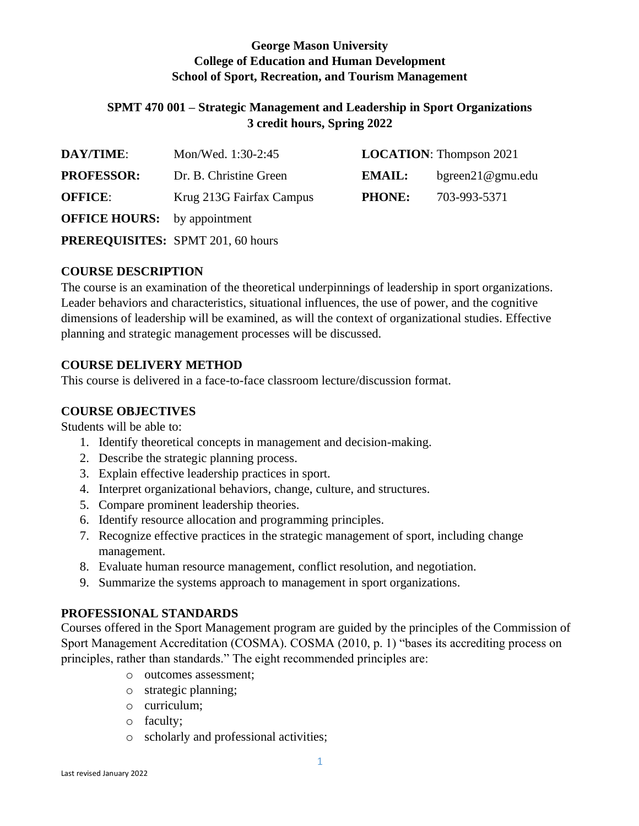# **George Mason University College of Education and Human Development School of Sport, Recreation, and Tourism Management**

### **SPMT 470 001 – Strategic Management and Leadership in Sport Organizations 3 credit hours, Spring 2022**

| <b>DAY/TIME:</b>                    | Mon/Wed. 1:30-2:45       |               | <b>LOCATION:</b> Thompson 2021 |
|-------------------------------------|--------------------------|---------------|--------------------------------|
| <b>PROFESSOR:</b>                   | Dr. B. Christine Green   | EMAIL:        | bgreen21@gmu.edu               |
| <b>OFFICE:</b>                      | Krug 213G Fairfax Campus | <b>PHONE:</b> | 703-993-5371                   |
| <b>OFFICE HOURS:</b> by appointment |                          |               |                                |

**PREREQUISITES:** SPMT 201, 60 hours

# **COURSE DESCRIPTION**

The course is an examination of the theoretical underpinnings of leadership in sport organizations. Leader behaviors and characteristics, situational influences, the use of power, and the cognitive dimensions of leadership will be examined, as will the context of organizational studies. Effective planning and strategic management processes will be discussed.

# **COURSE DELIVERY METHOD**

This course is delivered in a face-to-face classroom lecture/discussion format.

# **COURSE OBJECTIVES**

Students will be able to:

- 1. Identify theoretical concepts in management and decision-making.
- 2. Describe the strategic planning process.
- 3. Explain effective leadership practices in sport.
- 4. Interpret organizational behaviors, change, culture, and structures.
- 5. Compare prominent leadership theories.
- 6. Identify resource allocation and programming principles.
- 7. Recognize effective practices in the strategic management of sport, including change management.
- 8. Evaluate human resource management, conflict resolution, and negotiation.
- 9. Summarize the systems approach to management in sport organizations.

### **PROFESSIONAL STANDARDS**

Courses offered in the Sport Management program are guided by the principles of the Commission of Sport Management Accreditation (COSMA). COSMA (2010, p. 1) "bases its accrediting process on principles, rather than standards." The eight recommended principles are:

- o outcomes assessment;
- o strategic planning;
- o curriculum;
- o faculty;
- o scholarly and professional activities;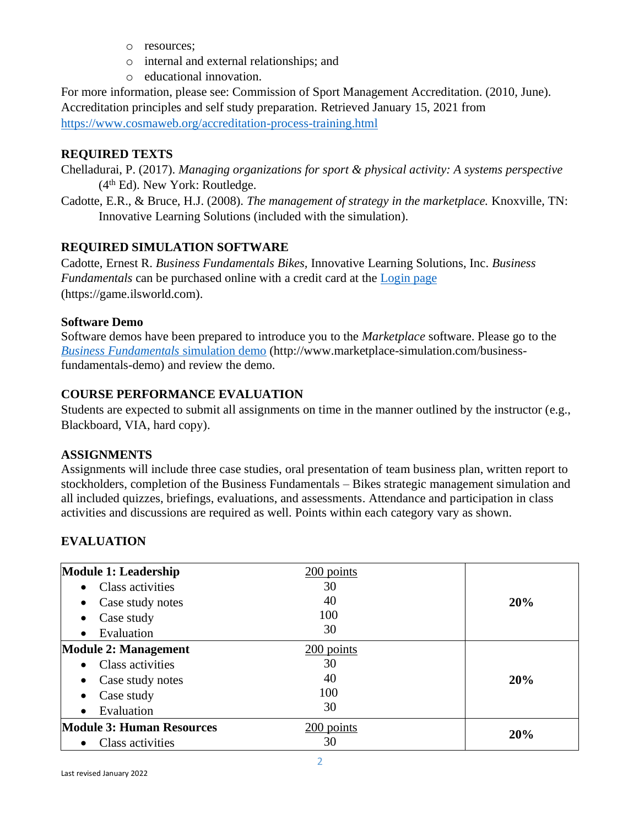- o resources;
- o internal and external relationships; and
- o educational innovation.

For more information, please see: Commission of Sport Management Accreditation. (2010, June). Accreditation principles and self study preparation. Retrieved January 15, 2021 from <https://www.cosmaweb.org/accreditation-process-training.html>

### **REQUIRED TEXTS**

- Chelladurai, P. (2017). *Managing organizations for sport & physical activity: A systems perspective* (4<sup>th</sup> Ed). New York: Routledge.
- Cadotte, E.R., & Bruce, H.J. (2008). *The management of strategy in the marketplace.* Knoxville, TN: Innovative Learning Solutions (included with the simulation).

### **REQUIRED SIMULATION SOFTWARE**

Cadotte, Ernest R. *Business Fundamentals Bikes,* Innovative Learning Solutions, Inc. *Business Fundamentals* can be purchased online with a credit card at the [Login page](https://game.ilsworld.com/) (https://game.ilsworld.com).

#### **Software Demo**

Software demos have been prepared to introduce you to the *Marketplace* software. Please go to the *[Business Fundamentals](http://www.marketplace-simulation.com/business-fundamentals-demo)* simulation demo (http://www.marketplace-simulation.com/businessfundamentals-demo) and review the demo.

# **COURSE PERFORMANCE EVALUATION**

Students are expected to submit all assignments on time in the manner outlined by the instructor (e.g., Blackboard, VIA, hard copy).

#### **ASSIGNMENTS**

Assignments will include three case studies, oral presentation of team business plan, written report to stockholders, completion of the Business Fundamentals – Bikes strategic management simulation and all included quizzes, briefings, evaluations, and assessments. Attendance and participation in class activities and discussions are required as well. Points within each category vary as shown.

### **EVALUATION**

| <b>Module 1: Leadership</b>          | 200 points |     |
|--------------------------------------|------------|-----|
| <b>Class activities</b><br>$\bullet$ | 30         |     |
| Case study notes<br>$\bullet$        | 40         | 20% |
| Case study<br>$\bullet$              | 100        |     |
| Evaluation<br>$\bullet$              | 30         |     |
| <b>Module 2: Management</b>          | 200 points |     |
| Class activities<br>$\bullet$        | 30         |     |
| Case study notes<br>$\bullet$        | 40         | 20% |
| Case study<br>$\bullet$              | 100        |     |
| Evaluation<br>$\bullet$              | 30         |     |
| <b>Module 3: Human Resources</b>     | 200 points | 20% |
| Class activities<br>$\bullet$        | 30         |     |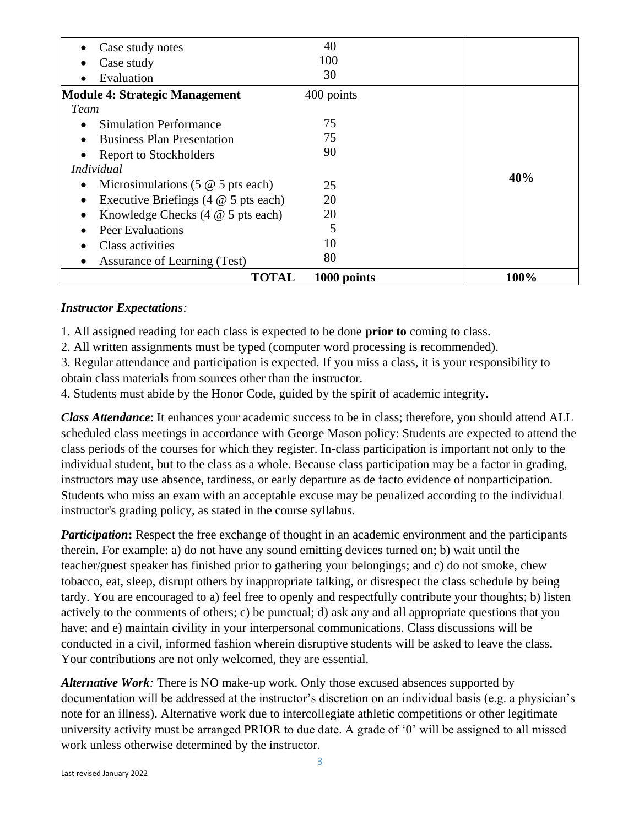| Case study notes<br>$\bullet$                             | 40          |      |
|-----------------------------------------------------------|-------------|------|
| Case study<br>٠                                           | 100         |      |
| Evaluation                                                | 30          |      |
| <b>Module 4: Strategic Management</b>                     | 400 points  |      |
| Team                                                      |             |      |
| <b>Simulation Performance</b>                             | 75          |      |
| <b>Business Plan Presentation</b><br>$\bullet$            | 75          |      |
| Report to Stockholders                                    | 90          |      |
| <i>Individual</i>                                         |             |      |
| Microsimulations $(5 \t@ 5 \tpt{pts each})$<br>$\bullet$  | 25          | 40%  |
| Executive Briefings $(4 \otimes 5$ pts each)<br>$\bullet$ | 20          |      |
| Knowledge Checks $(4 \t@ 5 \tpt{pts each})$<br>$\bullet$  | 20          |      |
| Peer Evaluations<br>$\bullet$                             | 5           |      |
| Class activities                                          | 10          |      |
| Assurance of Learning (Test)                              | 80          |      |
| <b>TOTAL</b>                                              | 1000 points | 100% |

#### *Instructor Expectations:*

1. All assigned reading for each class is expected to be done **prior to** coming to class.

2. All written assignments must be typed (computer word processing is recommended).

3. Regular attendance and participation is expected. If you miss a class, it is your responsibility to obtain class materials from sources other than the instructor.

4. Students must abide by the Honor Code, guided by the spirit of academic integrity.

*Class Attendance*: It enhances your academic success to be in class; therefore, you should attend ALL scheduled class meetings in accordance with George Mason policy: Students are expected to attend the class periods of the courses for which they register. In-class participation is important not only to the individual student, but to the class as a whole. Because class participation may be a factor in grading, instructors may use absence, tardiness, or early departure as de facto evidence of nonparticipation. Students who miss an exam with an acceptable excuse may be penalized according to the individual instructor's grading policy, as stated in the course syllabus.

*Participation*: Respect the free exchange of thought in an academic environment and the participants therein. For example: a) do not have any sound emitting devices turned on; b) wait until the teacher/guest speaker has finished prior to gathering your belongings; and c) do not smoke, chew tobacco, eat, sleep, disrupt others by inappropriate talking, or disrespect the class schedule by being tardy. You are encouraged to a) feel free to openly and respectfully contribute your thoughts; b) listen actively to the comments of others; c) be punctual; d) ask any and all appropriate questions that you have; and e) maintain civility in your interpersonal communications. Class discussions will be conducted in a civil, informed fashion wherein disruptive students will be asked to leave the class. Your contributions are not only welcomed, they are essential.

*Alternative Work:* There is NO make-up work. Only those excused absences supported by documentation will be addressed at the instructor's discretion on an individual basis (e.g. a physician's note for an illness). Alternative work due to intercollegiate athletic competitions or other legitimate university activity must be arranged PRIOR to due date. A grade of '0' will be assigned to all missed work unless otherwise determined by the instructor.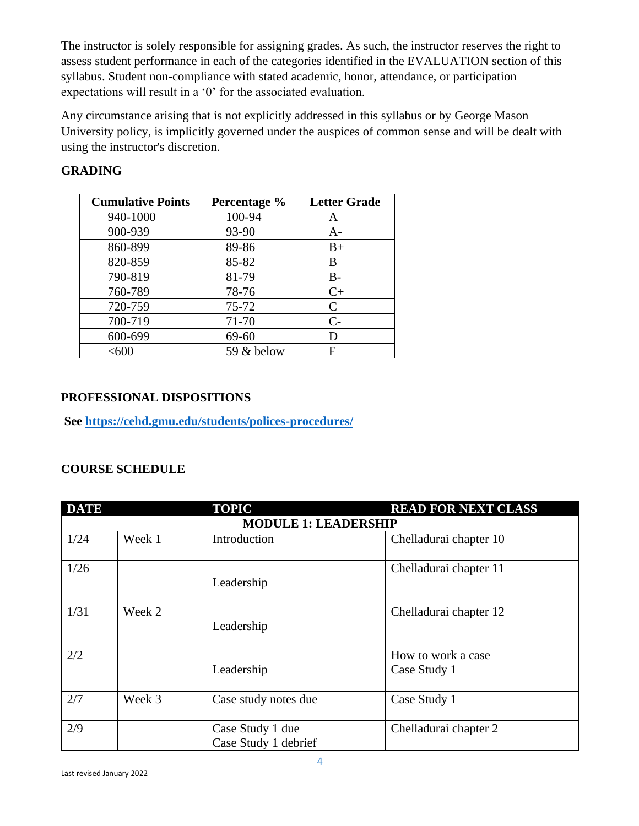The instructor is solely responsible for assigning grades. As such, the instructor reserves the right to assess student performance in each of the categories identified in the EVALUATION section of this syllabus. Student non-compliance with stated academic, honor, attendance, or participation expectations will result in a '0' for the associated evaluation.

Any circumstance arising that is not explicitly addressed in this syllabus or by George Mason University policy, is implicitly governed under the auspices of common sense and will be dealt with using the instructor's discretion.

| <b>Cumulative Points</b> | Percentage % | <b>Letter Grade</b> |
|--------------------------|--------------|---------------------|
| 940-1000                 | 100-94       | A                   |
| 900-939                  | 93-90        | $A-$                |
| 860-899                  | 89-86        | $B+$                |
| 820-859                  | 85-82        | B                   |
| 790-819                  | 81-79        | $B-$                |
| 760-789                  | 78-76        | $C+$                |
| 720-759                  | 75-72        | C                   |
| 700-719                  | 71-70        | $C-$                |
| 600-699                  | 69-60        | D                   |
| $<$ 600                  | 59 & below   | F                   |

# **GRADING**

### **PROFESSIONAL DISPOSITIONS**

**See<https://cehd.gmu.edu/students/polices-procedures/>**

### **COURSE SCHEDULE**

| <b>DATE</b>                 |        | <b>TOPIC</b>                             | <b>READ FOR NEXT CLASS</b>         |  |  |
|-----------------------------|--------|------------------------------------------|------------------------------------|--|--|
| <b>MODULE 1: LEADERSHIP</b> |        |                                          |                                    |  |  |
| 1/24                        | Week 1 | Introduction                             | Chelladurai chapter 10             |  |  |
| 1/26                        |        | Leadership                               | Chelladurai chapter 11             |  |  |
| 1/31                        | Week 2 | Leadership                               | Chelladurai chapter 12             |  |  |
| 2/2                         |        | Leadership                               | How to work a case<br>Case Study 1 |  |  |
| 2/7                         | Week 3 | Case study notes due                     | Case Study 1                       |  |  |
| 2/9                         |        | Case Study 1 due<br>Case Study 1 debrief | Chelladurai chapter 2              |  |  |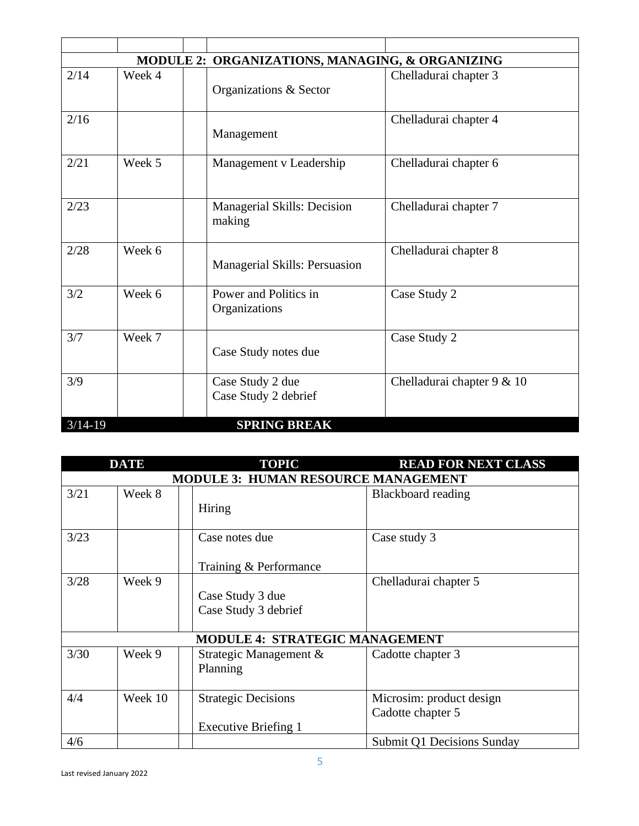| MODULE 2: ORGANIZATIONS, MANAGING, & ORGANIZING |        |  |                                              |                            |
|-------------------------------------------------|--------|--|----------------------------------------------|----------------------------|
| 2/14                                            | Week 4 |  | Organizations & Sector                       | Chelladurai chapter 3      |
| 2/16                                            |        |  | Management                                   | Chelladurai chapter 4      |
| 2/21                                            | Week 5 |  | Management v Leadership                      | Chelladurai chapter 6      |
| 2/23                                            |        |  | <b>Managerial Skills: Decision</b><br>making | Chelladurai chapter 7      |
| 2/28                                            | Week 6 |  | Managerial Skills: Persuasion                | Chelladurai chapter 8      |
| 3/2                                             | Week 6 |  | Power and Politics in<br>Organizations       | Case Study 2               |
| 3/7                                             | Week 7 |  | Case Study notes due                         | Case Study 2               |
| 3/9                                             |        |  | Case Study 2 due<br>Case Study 2 debrief     | Chelladurai chapter 9 & 10 |
| $3/14-19$                                       |        |  | <b>SPRING BREAK</b>                          |                            |

| <b>DATE</b>                                |         | <b>TOPIC</b>                                       | <b>READ FOR NEXT CLASS</b>                    |  |
|--------------------------------------------|---------|----------------------------------------------------|-----------------------------------------------|--|
| <b>MODULE 3: HUMAN RESOURCE MANAGEMENT</b> |         |                                                    |                                               |  |
| 3/21                                       | Week 8  | Hiring                                             | Blackboard reading                            |  |
| 3/23                                       |         | Case notes due<br>Training & Performance           | Case study 3                                  |  |
| 3/28                                       | Week 9  | Case Study 3 due<br>Case Study 3 debrief           | Chelladurai chapter 5                         |  |
|                                            |         | <b>MODULE 4: STRATEGIC MANAGEMENT</b>              |                                               |  |
| 3/30                                       | Week 9  | Strategic Management &<br>Planning                 | Cadotte chapter 3                             |  |
| 4/4                                        | Week 10 | <b>Strategic Decisions</b><br>Executive Briefing 1 | Microsim: product design<br>Cadotte chapter 5 |  |
| 4/6                                        |         |                                                    | Submit Q1 Decisions Sunday                    |  |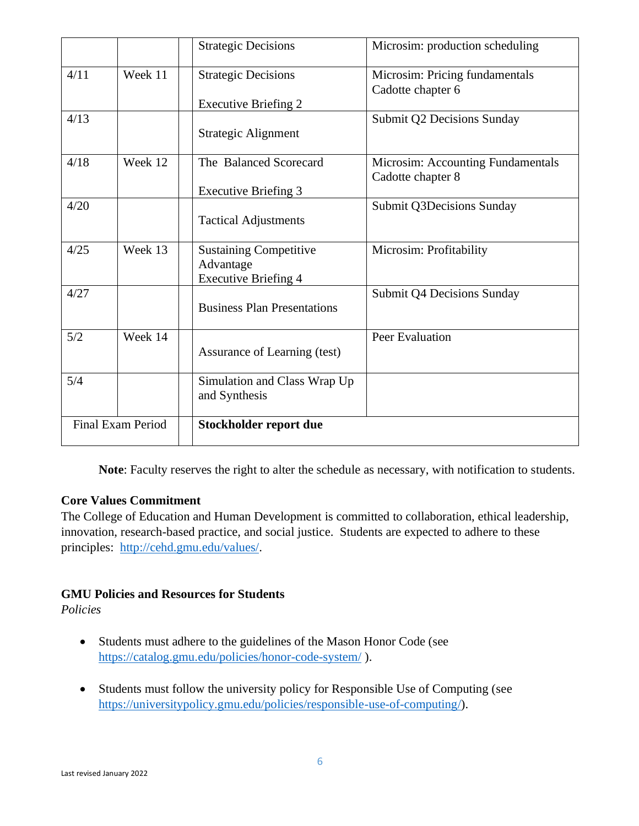|      |                          | <b>Strategic Decisions</b>                                                | Microsim: production scheduling                        |
|------|--------------------------|---------------------------------------------------------------------------|--------------------------------------------------------|
| 4/11 | Week 11                  | <b>Strategic Decisions</b>                                                | Microsim: Pricing fundamentals<br>Cadotte chapter 6    |
|      |                          | <b>Executive Briefing 2</b>                                               |                                                        |
| 4/13 |                          | <b>Strategic Alignment</b>                                                | Submit Q2 Decisions Sunday                             |
| 4/18 | Week 12                  | The Balanced Scorecard                                                    | Microsim: Accounting Fundamentals<br>Cadotte chapter 8 |
| 4/20 |                          | <b>Executive Briefing 3</b>                                               | <b>Submit Q3Decisions Sunday</b>                       |
|      |                          | <b>Tactical Adjustments</b>                                               |                                                        |
| 4/25 | Week 13                  | <b>Sustaining Competitive</b><br>Advantage<br><b>Executive Briefing 4</b> | Microsim: Profitability                                |
| 4/27 |                          | <b>Business Plan Presentations</b>                                        | Submit Q4 Decisions Sunday                             |
| 5/2  | Week 14                  | Assurance of Learning (test)                                              | <b>Peer Evaluation</b>                                 |
| 5/4  |                          | Simulation and Class Wrap Up<br>and Synthesis                             |                                                        |
|      | <b>Final Exam Period</b> | Stockholder report due                                                    |                                                        |

**Note**: Faculty reserves the right to alter the schedule as necessary, with notification to students.

# **Core Values Commitment**

The College of Education and Human Development is committed to collaboration, ethical leadership, innovation, research-based practice, and social justice. Students are expected to adhere to these principles: [http://cehd.gmu.edu/values/.](http://cehd.gmu.edu/values/)

# **GMU Policies and Resources for Students**

*Policies*

- Students must adhere to the guidelines of the Mason Honor Code (see <https://catalog.gmu.edu/policies/honor-code-system/> ).
- Students must follow the university policy for Responsible Use of Computing (see [https://universitypolicy.gmu.edu/policies/responsible-use-of-computing/\)](https://universitypolicy.gmu.edu/policies/responsible-use-of-computing/).